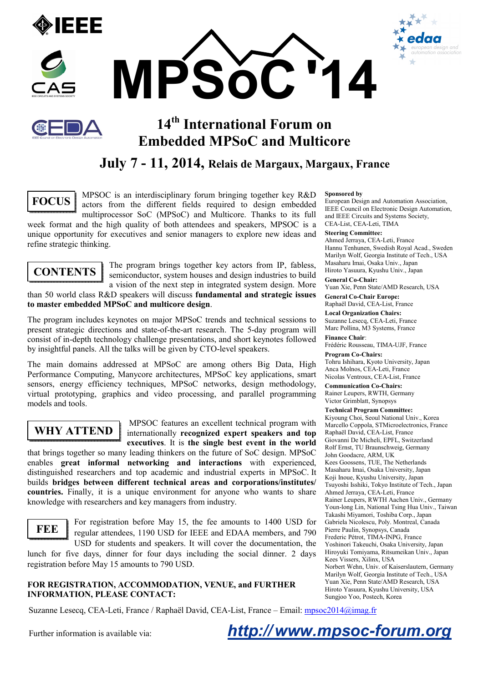







# **14th International Forum on Embedded MPSoC and Multicore**

## **July 7 - 11, 2014, Relais de Margaux, Margaux, France**



MPSOC is an interdisciplinary forum bringing together key R&D actors from the different fields required to design embedded multiprocessor SoC (MPSoC) and Multicore. Thanks to its full

week format and the high quality of both attendees and speakers, MPSOC is a unique opportunity for executives and senior managers to explore new ideas and refine strategic thinking.

# **CONTENTS**

The program brings together key actors from IP, fabless, semiconductor, system houses and design industries to build a vision of the next step in integrated system design. More

than 50 world class R&D speakers will discuss **fundamental and strategic issues to master embedded MPSoC and multicore design**.

The program includes keynotes on major MPSoC trends and technical sessions to present strategic directions and state-of-the-art research. The 5-day program will consist of in-depth technology challenge presentations, and short keynotes followed by insightful panels. All the talks will be given by CTO-level speakers.

The main domains addressed at MPSoC are among others Big Data, High Performance Computing, Manycore architectures, MPSoC key applications, smart sensors, energy efficiency techniques, MPSoC networks, design methodology, virtual prototyping, graphics and video processing, and parallel programming models and tools.

## **WHY ATTEND**

 MPSOC features an excellent technical program with internationally **recognized expert speakers and top executives**. It is **the single best event in the world**

that brings together so many leading thinkers on the future of SoC design. MPSoC enables **great informal networking and interactions** with experienced, distinguished researchers and top academic and industrial experts in MPSoC. It builds **bridges between different technical areas and corporations/institutes/ countries.** Finally, it is a unique environment for anyone who wants to share knowledge with researchers and key managers from industry.



For registration before May 15, the fee amounts to 1400 USD for regular attendees, 1190 USD for IEEE and EDAA members, and 790 USD for students and speakers. It will cover the documentation, the

lunch for five days, dinner for four days including the social dinner. 2 days registration before May 15 amounts to 790 USD.

#### **FOR REGISTRATION, ACCOMMODATION, VENUE, and FURTHER INFORMATION, PLEASE CONTACT:**

#### **Sponsored by**

European Design and Automation Association, IEEE Council on Electronic Design Automation, and IEEE Circuits and Systems Society, CEA-List, CEA-Leti, TIMA

#### **Steering Committee:**

Ahmed Jerraya, CEA-Leti, France Hannu Tenhunen, Swedish Royal Acad., Sweden Marilyn Wolf, Georgia Institute of Tech., USA Masaharu Imai, Osaka Univ., Japan Hiroto Yasuura, Kyushu Univ., Japan

**General Co-Chair:** 

Yuan Xie, Penn State/AMD Research, USA **General Co-Chair Europe:** 

Raphaël David, CEA-List, France **Local Organization Chairs:**

Suzanne Lesecq, CEA-Leti, France Marc Pollina, M3 Systems, France

**Finance Chair**:

Frédéric Rousseau, TIMA-UJF, France **Program Co-Chairs:** 

Tohru Ishihara, Kyoto University, Japan Anca Molnos, CEA-Leti, France Nicolas Ventroux, CEA-List, France

**Communication Co-Chairs:**  Rainer Leupers, RWTH, Germany

Victor Grimblatt, Synopsys

**Technical Program Committee:**  Kiyoung Choi, Seoul National Univ., Korea Marcello Coppola, STMicroelectronics, France Raphaël David, CEA-List, France Giovanni De Micheli, EPFL, Switzerland Rolf Ernst, TU Braunschweig, Germany John Goodacre, ARM, UK Kees Goossens, TUE, The Netherlands Masaharu Imai, Osaka University, Japan Koji Inoue, Kyushu University, Japan Tsuyoshi Isshiki, Tokyo Institute of Tech., Japan Ahmed Jerraya, CEA-Leti, France Rainer Leupers, RWTH Aachen Univ., Germany Youn-long Lin, National Tsing Hua Univ., Taiwan Takashi Miyamori, Toshiba Corp., Japan Gabriela Nicolescu, Poly. Montreal, Canada Pierre Paulin, Synopsys, Canada Frederic Pétrot, TIMA-INPG, France Yoshinori Takeuchi, Osaka University, Japan Hiroyuki Tomiyama, Ritsumeikan Univ., Japan Kees Vissers, Xilinx, USA Norbert Wehn, Univ. of Kaiserslautern, Germany Marilyn Wolf, Georgia Institute of Tech., USA Yuan Xie, Penn State/AMD Research, USA Hiroto Yasuura, Kyushu University, USA Sungjoo Yoo, Postech, Korea

Suzanne Lesecq, CEA-Leti, France / Raphaël David, CEA-List, France – Email: mpsoc2014@imag.fr

Further information is available via: **http://www.mpsoc-forum.org**